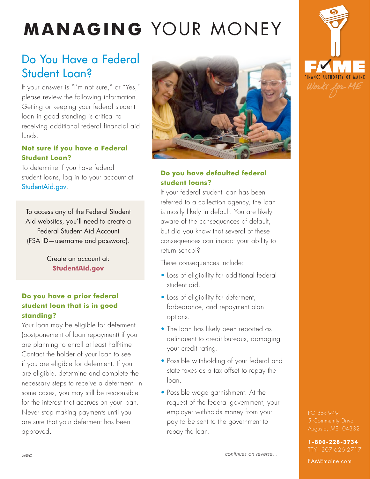# **MANAGING** YOUR MONEY

# Do You Have a Federal Student Loan?

If your answer is "I'm not sure," or "Yes," please review the following information. Getting or keeping your federal student loan in good standing is critical to receiving additional federal financial aid funds.

#### **Not sure if you have a Federal Student Loan?**

To determine if you have federal student loans, log in to your account at [StudentAid.gov](https://studentaid.gov/).

To access any of the Federal Student Aid websites, you'll need to create a Federal Student Aid Account (FSA ID—username and password).

> Create an account at: **[StudentAid.gov](https://studentaid.gov/)**

#### **Do you have a prior federal student loan that is in good standing?**

Your loan may be eligible for deferment (postponement of loan repayment) if you are planning to enroll at least half-time. Contact the holder of your loan to see if you are eligible for deferment. If you are eligible, determine and complete the necessary steps to receive a deferment. In some cases, you may still be responsible for the interest that accrues on your loan. Never stop making payments until you are sure that your deferment has been approved.



#### **Do you have defaulted federal student loans?**

If your federal student loan has been referred to a collection agency, the loan is mostly likely in default. You are likely aware of the consequences of default, but did you know that several of these consequences can impact your ability to return school?

These consequences include:

- Loss of eligibility for additional federal student aid.
- Loss of eligibility for deferment, forbearance, and repayment plan options.
- The loan has likely been reported as delinquent to credit bureaus, damaging your credit rating.
- Possible withholding of your federal and state taxes as a tax offset to repay the loan.
- Possible wage garnishment. At the request of the federal government, your employer withholds money from your pay to be sent to the government to repay the loan.



PO Box 949

**1-800-228-3734** TTY: 207-626-2717